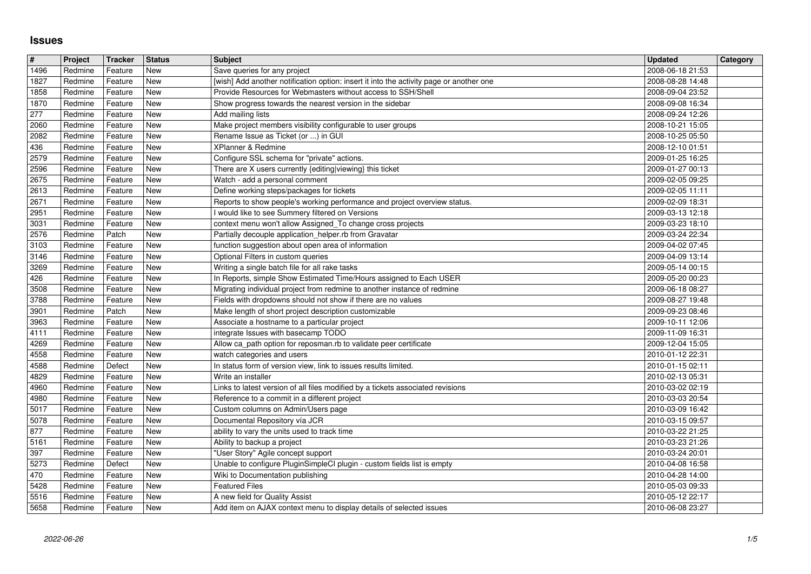## **Issues**

| $\vert$ #      | Project            | Tracker            | <b>Status</b>            | <b>Subject</b><br>Save queries for any project                                                                                           | <b>Updated</b>                       | Category |
|----------------|--------------------|--------------------|--------------------------|------------------------------------------------------------------------------------------------------------------------------------------|--------------------------------------|----------|
| 1496<br>1827   | Redmine<br>Redmine | Feature<br>Feature | <b>New</b><br>New        | [wish] Add another notification option: insert it into the activity page or another one                                                  | 2008-06-18 21:53<br>2008-08-28 14:48 |          |
| 1858           | Redmine            | Feature            | <b>New</b>               | Provide Resources for Webmasters without access to SSH/Shell                                                                             | 2008-09-04 23:52                     |          |
| 1870<br>277    | Redmine<br>Redmine | Feature<br>Feature | <b>New</b><br><b>New</b> | Show progress towards the nearest version in the sidebar<br>Add mailing lists                                                            | 2008-09-08 16:34<br>2008-09-24 12:26 |          |
| 2060           | Redmine            | Feature            | <b>New</b>               | Make project members visibility configurable to user groups                                                                              | 2008-10-21 15:05                     |          |
| 2082<br>436    | Redmine<br>Redmine | Feature<br>Feature | <b>New</b><br><b>New</b> | Rename Issue as Ticket (or ) in GUI<br>XPlanner & Redmine                                                                                | 2008-10-25 05:50<br>2008-12-10 01:51 |          |
| 2579<br>2596   | Redmine            | Feature            | New<br><b>New</b>        | Configure SSL schema for "private" actions.<br>There are X users currently {editing viewing} this ticket                                 | 2009-01-25 16:25                     |          |
| 2675           | Redmine<br>Redmine | Feature<br>Feature | <b>New</b>               | Watch - add a personal comment                                                                                                           | 2009-01-27 00:13<br>2009-02-05 09:25 |          |
| 2613           | Redmine            | Feature            | <b>New</b>               | Define working steps/packages for tickets                                                                                                | 2009-02-05 11:11                     |          |
| 2671<br>2951   | Redmine<br>Redmine | Feature<br>Feature | <b>New</b><br><b>New</b> | Reports to show people's working performance and project overview status.<br>I would like to see Summery filtered on Versions            | 2009-02-09 18:31<br>2009-03-13 12:18 |          |
| 3031           | Redmine            | Feature            | <b>New</b>               | context menu won't allow Assigned_To change cross projects                                                                               | 2009-03-23 18:10                     |          |
| 2576<br>3103   | Redmine<br>Redmine | Patch<br>Feature   | <b>New</b><br>New        | Partially decouple application_helper.rb from Gravatar<br>function suggestion about open area of information                             | 2009-03-24 22:34<br>2009-04-02 07:45 |          |
| 3146           | Redmine            | Feature            | <b>New</b>               | Optional Filters in custom queries                                                                                                       | 2009-04-09 13:14                     |          |
| 3269<br>426    | Redmine<br>Redmine | Feature<br>Feature | New<br><b>New</b>        | Writing a single batch file for all rake tasks<br>In Reports, simple Show Estimated Time/Hours assigned to Each USER                     | 2009-05-14 00:15<br>2009-05-20 00:23 |          |
| 3508<br>3788   | Redmine            | Feature            | <b>New</b><br><b>New</b> | Migrating individual project from redmine to another instance of redmine<br>Fields with dropdowns should not show if there are no values | 2009-06-18 08:27                     |          |
| 3901           | Redmine<br>Redmine | Feature<br>Patch   | <b>New</b>               | Make length of short project description customizable                                                                                    | 2009-08-27 19:48<br>2009-09-23 08:46 |          |
| 3963<br>4111   | Redmine            | Feature            | New                      | Associate a hostname to a particular project<br>integrate Issues with basecamp TODO                                                      | 2009-10-11 12:06                     |          |
| 4269           | Redmine<br>Redmine | Feature<br>Feature | New<br><b>New</b>        | Allow ca_path option for reposman.rb to validate peer certificate                                                                        | 2009-11-09 16:31<br>2009-12-04 15:05 |          |
| 4558           | Redmine            | Feature            | New                      | watch categories and users                                                                                                               | 2010-01-12 22:31                     |          |
| 4588<br>4829   | Redmine<br>Redmine | Defect<br>Feature  | <b>New</b><br><b>New</b> | In status form of version view, link to issues results limited.<br>Write an installer                                                    | 2010-01-15 02:11<br>2010-02-13 05:31 |          |
| 4960           | Redmine            | Feature            | <b>New</b>               | Links to latest version of all files modified by a tickets associated revisions                                                          | 2010-03-02 02:19                     |          |
| 4980<br>5017   | Redmine<br>Redmine | Feature<br>Feature | <b>New</b><br><b>New</b> | Reference to a commit in a different project<br>Custom columns on Admin/Users page                                                       | 2010-03-03 20:54<br>2010-03-09 16:42 |          |
| 5078           | Redmine            | Feature            | <b>New</b>               | Documental Repository vía JCR                                                                                                            | 2010-03-15 09:57                     |          |
| 877<br>5161    | Redmine<br>Redmine | Feature<br>Feature | New<br><b>New</b>        | ability to vary the units used to track time<br>Ability to backup a project                                                              | 2010-03-22 21:25<br>2010-03-23 21:26 |          |
| 397            | Redmine            | Feature            | <b>New</b>               | "User Story" Agile concept support                                                                                                       | 2010-03-24 20:01                     |          |
| 5273<br>470    | Redmine<br>Redmine | Defect<br>Feature  | <b>New</b><br>New        | Unable to configure PluginSimpleCI plugin - custom fields list is empty<br>Wiki to Documentation publishing                              | 2010-04-08 16:58<br>2010-04-28 14:00 |          |
| $\boxed{5428}$ | Redmine            | Feature            | New                      | <b>Featured Files</b>                                                                                                                    | 2010-05-03 09:33                     |          |
| 5516<br>5658   | Redmine<br>Redmine | Feature<br>Feature | New<br>New               | A new field for Quality Assist<br>Add item on AJAX context menu to display details of selected issues                                    | 2010-05-12 22:17<br>2010-06-08 23:27 |          |
|                |                    |                    |                          |                                                                                                                                          |                                      |          |
|                |                    |                    |                          |                                                                                                                                          |                                      |          |
|                |                    |                    |                          |                                                                                                                                          |                                      |          |
|                |                    |                    |                          |                                                                                                                                          |                                      |          |
|                |                    |                    |                          |                                                                                                                                          |                                      |          |
|                |                    |                    |                          |                                                                                                                                          |                                      |          |
|                |                    |                    |                          |                                                                                                                                          |                                      |          |
|                |                    |                    |                          |                                                                                                                                          |                                      |          |
|                |                    |                    |                          |                                                                                                                                          |                                      |          |
|                |                    |                    |                          |                                                                                                                                          |                                      |          |
|                |                    |                    |                          |                                                                                                                                          |                                      |          |
|                |                    |                    |                          |                                                                                                                                          |                                      |          |
|                |                    |                    |                          |                                                                                                                                          |                                      |          |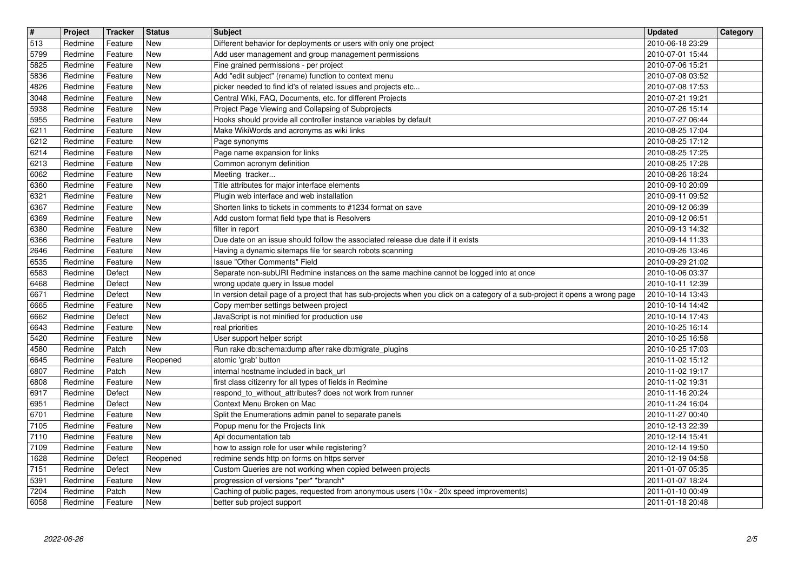| 513<br>New<br>Different behavior for deployments or users with only one project<br>Redmine<br>Feature<br>5799<br><b>New</b><br>Redmine<br>Feature<br>Add user management and group management permissions<br>5825<br><b>New</b><br>Redmine<br>Feature<br>Fine grained permissions - per project<br>5836<br>Redmine<br>New<br>Add "edit subject" (rename) function to context menu<br>Feature<br>4826<br><b>New</b><br>picker needed to find id's of related issues and projects etc<br>Redmine<br>Feature<br>Central Wiki, FAQ, Documents, etc. for different Projects<br>3048<br><b>New</b><br>Redmine<br>Feature<br>Project Page Viewing and Collapsing of Subprojects<br>5938<br>Redmine<br><b>New</b><br>Feature<br>Hooks should provide all controller instance variables by default<br>5955<br><b>New</b><br>Redmine<br>Feature<br>6211<br>New<br>Make WikiWords and acronyms as wiki links<br>Redmine<br>Feature<br>6212<br><b>New</b><br>Redmine<br>Feature<br>Page synonyms<br>6214<br>Redmine<br><b>New</b><br>Page name expansion for links<br>Feature<br>6213<br><b>New</b><br>Common acronym definition<br>Redmine<br>Feature<br>6062<br>Redmine<br><b>New</b><br>Meeting tracker<br>Feature<br>6360<br><b>New</b><br>Title attributes for major interface elements<br>Redmine<br>Feature<br>6321<br><b>New</b><br>Plugin web interface and web installation<br>Redmine<br>Feature<br>6367<br>Redmine<br><b>New</b><br>Shorten links to tickets in comments to #1234 format on save<br>Feature<br>6369<br>New<br>Add custom format field type that is Resolvers<br>Redmine<br>Feature<br>6380<br>New<br>Redmine<br>filter in report<br>Feature<br><b>New</b><br>Due date on an issue should follow the associated release due date if it exists<br>6366<br>Redmine<br>Feature<br>2646<br><b>New</b><br>Redmine<br>Feature<br>Having a dynamic sitemaps file for search robots scanning<br>Issue "Other Comments" Field<br>6535<br><b>New</b><br>Redmine<br>Feature<br>6583<br>Redmine<br><b>New</b><br>Separate non-subURI Redmine instances on the same machine cannot be logged into at once<br>Defect<br>6468<br>Defect<br><b>New</b><br>wrong update query in Issue model<br>Redmine<br>6671<br>Defect<br><b>New</b><br>In version detail page of a project that has sub-projects when you click on a category of a sub-project it opens a wrong page<br>Redmine | 2010-06-18 23:29<br>2010-07-01 15:44<br>2010-07-06 15:21<br>2010-07-08 03:52<br>2010-07-08 17:53<br>2010-07-21 19:21<br>2010-07-26 15:14<br>2010-07-27 06:44<br>2010-08-25 17:04<br>2010-08-25 17:12<br>2010-08-25 17:25<br>2010-08-25 17:28<br>2010-08-26 18:24<br>2010-09-10 20:09<br>2010-09-11 09:52<br>2010-09-12 06:39<br>2010-09-12 06:51<br>2010-09-13 14:32<br>2010-09-14 11:33<br>2010-09-26 13:46<br>2010-09-29 21:02<br>2010-10-06 03:37<br>2010-10-11 12:39<br>2010-10-14 13:43<br>2010-10-14 14:42 |  |
|-----------------------------------------------------------------------------------------------------------------------------------------------------------------------------------------------------------------------------------------------------------------------------------------------------------------------------------------------------------------------------------------------------------------------------------------------------------------------------------------------------------------------------------------------------------------------------------------------------------------------------------------------------------------------------------------------------------------------------------------------------------------------------------------------------------------------------------------------------------------------------------------------------------------------------------------------------------------------------------------------------------------------------------------------------------------------------------------------------------------------------------------------------------------------------------------------------------------------------------------------------------------------------------------------------------------------------------------------------------------------------------------------------------------------------------------------------------------------------------------------------------------------------------------------------------------------------------------------------------------------------------------------------------------------------------------------------------------------------------------------------------------------------------------------------------------------------------------------------------------------------------------------------------------------------------------------------------------------------------------------------------------------------------------------------------------------------------------------------------------------------------------------------------------------------------------------------------------------------------------------------------------------------------------------------------------------------------------------------------------------------------|------------------------------------------------------------------------------------------------------------------------------------------------------------------------------------------------------------------------------------------------------------------------------------------------------------------------------------------------------------------------------------------------------------------------------------------------------------------------------------------------------------------|--|
|                                                                                                                                                                                                                                                                                                                                                                                                                                                                                                                                                                                                                                                                                                                                                                                                                                                                                                                                                                                                                                                                                                                                                                                                                                                                                                                                                                                                                                                                                                                                                                                                                                                                                                                                                                                                                                                                                                                                                                                                                                                                                                                                                                                                                                                                                                                                                                                   |                                                                                                                                                                                                                                                                                                                                                                                                                                                                                                                  |  |
|                                                                                                                                                                                                                                                                                                                                                                                                                                                                                                                                                                                                                                                                                                                                                                                                                                                                                                                                                                                                                                                                                                                                                                                                                                                                                                                                                                                                                                                                                                                                                                                                                                                                                                                                                                                                                                                                                                                                                                                                                                                                                                                                                                                                                                                                                                                                                                                   |                                                                                                                                                                                                                                                                                                                                                                                                                                                                                                                  |  |
|                                                                                                                                                                                                                                                                                                                                                                                                                                                                                                                                                                                                                                                                                                                                                                                                                                                                                                                                                                                                                                                                                                                                                                                                                                                                                                                                                                                                                                                                                                                                                                                                                                                                                                                                                                                                                                                                                                                                                                                                                                                                                                                                                                                                                                                                                                                                                                                   |                                                                                                                                                                                                                                                                                                                                                                                                                                                                                                                  |  |
|                                                                                                                                                                                                                                                                                                                                                                                                                                                                                                                                                                                                                                                                                                                                                                                                                                                                                                                                                                                                                                                                                                                                                                                                                                                                                                                                                                                                                                                                                                                                                                                                                                                                                                                                                                                                                                                                                                                                                                                                                                                                                                                                                                                                                                                                                                                                                                                   |                                                                                                                                                                                                                                                                                                                                                                                                                                                                                                                  |  |
|                                                                                                                                                                                                                                                                                                                                                                                                                                                                                                                                                                                                                                                                                                                                                                                                                                                                                                                                                                                                                                                                                                                                                                                                                                                                                                                                                                                                                                                                                                                                                                                                                                                                                                                                                                                                                                                                                                                                                                                                                                                                                                                                                                                                                                                                                                                                                                                   |                                                                                                                                                                                                                                                                                                                                                                                                                                                                                                                  |  |
|                                                                                                                                                                                                                                                                                                                                                                                                                                                                                                                                                                                                                                                                                                                                                                                                                                                                                                                                                                                                                                                                                                                                                                                                                                                                                                                                                                                                                                                                                                                                                                                                                                                                                                                                                                                                                                                                                                                                                                                                                                                                                                                                                                                                                                                                                                                                                                                   |                                                                                                                                                                                                                                                                                                                                                                                                                                                                                                                  |  |
|                                                                                                                                                                                                                                                                                                                                                                                                                                                                                                                                                                                                                                                                                                                                                                                                                                                                                                                                                                                                                                                                                                                                                                                                                                                                                                                                                                                                                                                                                                                                                                                                                                                                                                                                                                                                                                                                                                                                                                                                                                                                                                                                                                                                                                                                                                                                                                                   |                                                                                                                                                                                                                                                                                                                                                                                                                                                                                                                  |  |
|                                                                                                                                                                                                                                                                                                                                                                                                                                                                                                                                                                                                                                                                                                                                                                                                                                                                                                                                                                                                                                                                                                                                                                                                                                                                                                                                                                                                                                                                                                                                                                                                                                                                                                                                                                                                                                                                                                                                                                                                                                                                                                                                                                                                                                                                                                                                                                                   |                                                                                                                                                                                                                                                                                                                                                                                                                                                                                                                  |  |
|                                                                                                                                                                                                                                                                                                                                                                                                                                                                                                                                                                                                                                                                                                                                                                                                                                                                                                                                                                                                                                                                                                                                                                                                                                                                                                                                                                                                                                                                                                                                                                                                                                                                                                                                                                                                                                                                                                                                                                                                                                                                                                                                                                                                                                                                                                                                                                                   |                                                                                                                                                                                                                                                                                                                                                                                                                                                                                                                  |  |
|                                                                                                                                                                                                                                                                                                                                                                                                                                                                                                                                                                                                                                                                                                                                                                                                                                                                                                                                                                                                                                                                                                                                                                                                                                                                                                                                                                                                                                                                                                                                                                                                                                                                                                                                                                                                                                                                                                                                                                                                                                                                                                                                                                                                                                                                                                                                                                                   |                                                                                                                                                                                                                                                                                                                                                                                                                                                                                                                  |  |
|                                                                                                                                                                                                                                                                                                                                                                                                                                                                                                                                                                                                                                                                                                                                                                                                                                                                                                                                                                                                                                                                                                                                                                                                                                                                                                                                                                                                                                                                                                                                                                                                                                                                                                                                                                                                                                                                                                                                                                                                                                                                                                                                                                                                                                                                                                                                                                                   |                                                                                                                                                                                                                                                                                                                                                                                                                                                                                                                  |  |
|                                                                                                                                                                                                                                                                                                                                                                                                                                                                                                                                                                                                                                                                                                                                                                                                                                                                                                                                                                                                                                                                                                                                                                                                                                                                                                                                                                                                                                                                                                                                                                                                                                                                                                                                                                                                                                                                                                                                                                                                                                                                                                                                                                                                                                                                                                                                                                                   |                                                                                                                                                                                                                                                                                                                                                                                                                                                                                                                  |  |
|                                                                                                                                                                                                                                                                                                                                                                                                                                                                                                                                                                                                                                                                                                                                                                                                                                                                                                                                                                                                                                                                                                                                                                                                                                                                                                                                                                                                                                                                                                                                                                                                                                                                                                                                                                                                                                                                                                                                                                                                                                                                                                                                                                                                                                                                                                                                                                                   |                                                                                                                                                                                                                                                                                                                                                                                                                                                                                                                  |  |
|                                                                                                                                                                                                                                                                                                                                                                                                                                                                                                                                                                                                                                                                                                                                                                                                                                                                                                                                                                                                                                                                                                                                                                                                                                                                                                                                                                                                                                                                                                                                                                                                                                                                                                                                                                                                                                                                                                                                                                                                                                                                                                                                                                                                                                                                                                                                                                                   |                                                                                                                                                                                                                                                                                                                                                                                                                                                                                                                  |  |
|                                                                                                                                                                                                                                                                                                                                                                                                                                                                                                                                                                                                                                                                                                                                                                                                                                                                                                                                                                                                                                                                                                                                                                                                                                                                                                                                                                                                                                                                                                                                                                                                                                                                                                                                                                                                                                                                                                                                                                                                                                                                                                                                                                                                                                                                                                                                                                                   |                                                                                                                                                                                                                                                                                                                                                                                                                                                                                                                  |  |
| 6665<br><b>New</b><br>Copy member settings between project<br>Redmine<br>Feature                                                                                                                                                                                                                                                                                                                                                                                                                                                                                                                                                                                                                                                                                                                                                                                                                                                                                                                                                                                                                                                                                                                                                                                                                                                                                                                                                                                                                                                                                                                                                                                                                                                                                                                                                                                                                                                                                                                                                                                                                                                                                                                                                                                                                                                                                                  |                                                                                                                                                                                                                                                                                                                                                                                                                                                                                                                  |  |
| JavaScript is not minified for production use<br>6662<br>Defect<br><b>New</b><br>Redmine                                                                                                                                                                                                                                                                                                                                                                                                                                                                                                                                                                                                                                                                                                                                                                                                                                                                                                                                                                                                                                                                                                                                                                                                                                                                                                                                                                                                                                                                                                                                                                                                                                                                                                                                                                                                                                                                                                                                                                                                                                                                                                                                                                                                                                                                                          | 2010-10-14 17:43                                                                                                                                                                                                                                                                                                                                                                                                                                                                                                 |  |
| 6643<br>New<br>Redmine<br>real priorities<br>Feature<br>5420<br>New<br>Redmine<br>Feature<br>User support helper script                                                                                                                                                                                                                                                                                                                                                                                                                                                                                                                                                                                                                                                                                                                                                                                                                                                                                                                                                                                                                                                                                                                                                                                                                                                                                                                                                                                                                                                                                                                                                                                                                                                                                                                                                                                                                                                                                                                                                                                                                                                                                                                                                                                                                                                           | 2010-10-25 16:14<br>2010-10-25 16:58                                                                                                                                                                                                                                                                                                                                                                                                                                                                             |  |
| 4580<br>Redmine<br>Patch<br><b>New</b><br>Run rake db:schema:dump after rake db:migrate_plugins                                                                                                                                                                                                                                                                                                                                                                                                                                                                                                                                                                                                                                                                                                                                                                                                                                                                                                                                                                                                                                                                                                                                                                                                                                                                                                                                                                                                                                                                                                                                                                                                                                                                                                                                                                                                                                                                                                                                                                                                                                                                                                                                                                                                                                                                                   | 2010-10-25 17:03                                                                                                                                                                                                                                                                                                                                                                                                                                                                                                 |  |
| 6645<br>Reopened<br>atomic 'grab' button<br>Redmine<br>Feature<br>6807<br>New<br>internal hostname included in back_url<br>Redmine<br>Patch                                                                                                                                                                                                                                                                                                                                                                                                                                                                                                                                                                                                                                                                                                                                                                                                                                                                                                                                                                                                                                                                                                                                                                                                                                                                                                                                                                                                                                                                                                                                                                                                                                                                                                                                                                                                                                                                                                                                                                                                                                                                                                                                                                                                                                       | 2010-11-02 15:12<br>2010-11-02 19:17                                                                                                                                                                                                                                                                                                                                                                                                                                                                             |  |
| first class citizenry for all types of fields in Redmine<br>6808<br>New<br>Redmine<br>Feature                                                                                                                                                                                                                                                                                                                                                                                                                                                                                                                                                                                                                                                                                                                                                                                                                                                                                                                                                                                                                                                                                                                                                                                                                                                                                                                                                                                                                                                                                                                                                                                                                                                                                                                                                                                                                                                                                                                                                                                                                                                                                                                                                                                                                                                                                     | 2010-11-02 19:31                                                                                                                                                                                                                                                                                                                                                                                                                                                                                                 |  |
| 6917<br>Defect<br><b>New</b><br>respond_to_without_attributes? does not work from runner<br>Redmine<br>Context Menu Broken on Mac<br>6951<br>Redmine<br>Defect<br><b>New</b>                                                                                                                                                                                                                                                                                                                                                                                                                                                                                                                                                                                                                                                                                                                                                                                                                                                                                                                                                                                                                                                                                                                                                                                                                                                                                                                                                                                                                                                                                                                                                                                                                                                                                                                                                                                                                                                                                                                                                                                                                                                                                                                                                                                                      | 2010-11-16 20:24<br>2010-11-24 16:04                                                                                                                                                                                                                                                                                                                                                                                                                                                                             |  |
| 6701<br>Split the Enumerations admin panel to separate panels<br>Redmine<br>Feature<br>New                                                                                                                                                                                                                                                                                                                                                                                                                                                                                                                                                                                                                                                                                                                                                                                                                                                                                                                                                                                                                                                                                                                                                                                                                                                                                                                                                                                                                                                                                                                                                                                                                                                                                                                                                                                                                                                                                                                                                                                                                                                                                                                                                                                                                                                                                        | 2010-11-27 00:40                                                                                                                                                                                                                                                                                                                                                                                                                                                                                                 |  |
| 7105<br>Redmine<br>New<br>Popup menu for the Projects link<br>Feature<br>7110<br>New<br>Api documentation tab<br>Redmine<br>Feature                                                                                                                                                                                                                                                                                                                                                                                                                                                                                                                                                                                                                                                                                                                                                                                                                                                                                                                                                                                                                                                                                                                                                                                                                                                                                                                                                                                                                                                                                                                                                                                                                                                                                                                                                                                                                                                                                                                                                                                                                                                                                                                                                                                                                                               | 2010-12-13 22:39<br>2010-12-14 15:41                                                                                                                                                                                                                                                                                                                                                                                                                                                                             |  |
| 7109<br>New<br>Redmine<br>Feature<br>how to assign role for user while registering?<br>$\boxed{1628}$<br>Redmine<br>Reopened<br>Defect<br>redmine sends http on forms on https server                                                                                                                                                                                                                                                                                                                                                                                                                                                                                                                                                                                                                                                                                                                                                                                                                                                                                                                                                                                                                                                                                                                                                                                                                                                                                                                                                                                                                                                                                                                                                                                                                                                                                                                                                                                                                                                                                                                                                                                                                                                                                                                                                                                             | 2010-12-14 19:50<br>2010-12-19 04:58                                                                                                                                                                                                                                                                                                                                                                                                                                                                             |  |
| 7151<br>Redmine<br>Defect<br>New<br>Custom Queries are not working when copied between projects                                                                                                                                                                                                                                                                                                                                                                                                                                                                                                                                                                                                                                                                                                                                                                                                                                                                                                                                                                                                                                                                                                                                                                                                                                                                                                                                                                                                                                                                                                                                                                                                                                                                                                                                                                                                                                                                                                                                                                                                                                                                                                                                                                                                                                                                                   | 2011-01-07 05:35                                                                                                                                                                                                                                                                                                                                                                                                                                                                                                 |  |
| 5391<br>progression of versions *per* *branch*<br>New<br>Redmine<br>Feature<br>7204<br>Caching of public pages, requested from anonymous users (10x - 20x speed improvements)<br>Patch<br>New<br>Redmine                                                                                                                                                                                                                                                                                                                                                                                                                                                                                                                                                                                                                                                                                                                                                                                                                                                                                                                                                                                                                                                                                                                                                                                                                                                                                                                                                                                                                                                                                                                                                                                                                                                                                                                                                                                                                                                                                                                                                                                                                                                                                                                                                                          | 2011-01-07 18:24<br>2011-01-10 00:49                                                                                                                                                                                                                                                                                                                                                                                                                                                                             |  |
| 6058<br>New<br>better sub project support<br>Redmine<br>Feature                                                                                                                                                                                                                                                                                                                                                                                                                                                                                                                                                                                                                                                                                                                                                                                                                                                                                                                                                                                                                                                                                                                                                                                                                                                                                                                                                                                                                                                                                                                                                                                                                                                                                                                                                                                                                                                                                                                                                                                                                                                                                                                                                                                                                                                                                                                   | 2011-01-18 20:48                                                                                                                                                                                                                                                                                                                                                                                                                                                                                                 |  |
|                                                                                                                                                                                                                                                                                                                                                                                                                                                                                                                                                                                                                                                                                                                                                                                                                                                                                                                                                                                                                                                                                                                                                                                                                                                                                                                                                                                                                                                                                                                                                                                                                                                                                                                                                                                                                                                                                                                                                                                                                                                                                                                                                                                                                                                                                                                                                                                   |                                                                                                                                                                                                                                                                                                                                                                                                                                                                                                                  |  |
|                                                                                                                                                                                                                                                                                                                                                                                                                                                                                                                                                                                                                                                                                                                                                                                                                                                                                                                                                                                                                                                                                                                                                                                                                                                                                                                                                                                                                                                                                                                                                                                                                                                                                                                                                                                                                                                                                                                                                                                                                                                                                                                                                                                                                                                                                                                                                                                   |                                                                                                                                                                                                                                                                                                                                                                                                                                                                                                                  |  |
|                                                                                                                                                                                                                                                                                                                                                                                                                                                                                                                                                                                                                                                                                                                                                                                                                                                                                                                                                                                                                                                                                                                                                                                                                                                                                                                                                                                                                                                                                                                                                                                                                                                                                                                                                                                                                                                                                                                                                                                                                                                                                                                                                                                                                                                                                                                                                                                   |                                                                                                                                                                                                                                                                                                                                                                                                                                                                                                                  |  |
|                                                                                                                                                                                                                                                                                                                                                                                                                                                                                                                                                                                                                                                                                                                                                                                                                                                                                                                                                                                                                                                                                                                                                                                                                                                                                                                                                                                                                                                                                                                                                                                                                                                                                                                                                                                                                                                                                                                                                                                                                                                                                                                                                                                                                                                                                                                                                                                   |                                                                                                                                                                                                                                                                                                                                                                                                                                                                                                                  |  |
|                                                                                                                                                                                                                                                                                                                                                                                                                                                                                                                                                                                                                                                                                                                                                                                                                                                                                                                                                                                                                                                                                                                                                                                                                                                                                                                                                                                                                                                                                                                                                                                                                                                                                                                                                                                                                                                                                                                                                                                                                                                                                                                                                                                                                                                                                                                                                                                   |                                                                                                                                                                                                                                                                                                                                                                                                                                                                                                                  |  |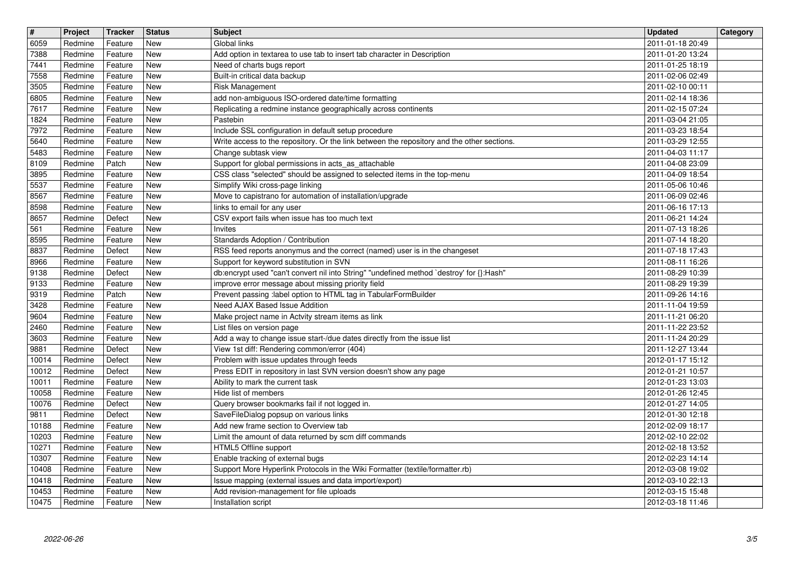| $\overline{\mathbf{t}}$ | Project            | Tracker            | Status                   | <b>Subject</b>                                                                                                                      | <b>Updated</b>                       | Category |
|-------------------------|--------------------|--------------------|--------------------------|-------------------------------------------------------------------------------------------------------------------------------------|--------------------------------------|----------|
| 6059<br>7388            | Redmine<br>Redmine | Feature<br>Feature | New<br><b>New</b>        | Global links<br>Add option in textarea to use tab to insert tab character in Description                                            | 2011-01-18 20:49<br>2011-01-20 13:24 |          |
| 7441                    | Redmine            | Feature            | <b>New</b>               | Need of charts bugs report                                                                                                          | 2011-01-25 18:19                     |          |
| 7558<br>3505            | Redmine            | Feature            | <b>New</b><br><b>New</b> | Built-in critical data backup                                                                                                       | 2011-02-06 02:49                     |          |
| 6805                    | Redmine<br>Redmine | Feature<br>Feature | <b>New</b>               | Risk Management<br>add non-ambiguous ISO-ordered date/time formatting                                                               | 2011-02-10 00:11<br>2011-02-14 18:36 |          |
| 7617                    | Redmine            | Feature            | New                      | Replicating a redmine instance geographically across continents                                                                     | 2011-02-15 07:24                     |          |
| 1824<br>7972            | Redmine<br>Redmine | Feature<br>Feature | New<br><b>New</b>        | Pastebin<br>Include SSL configuration in default setup procedure                                                                    | 2011-03-04 21:05<br>2011-03-23 18:54 |          |
| 5640                    | Redmine            | Feature            | <b>New</b>               | Write access to the repository. Or the link between the repository and the other sections.                                          | 2011-03-29 12:55                     |          |
| 5483<br>8109            | Redmine<br>Redmine | Feature<br>Patch   | <b>New</b><br><b>New</b> | Change subtask view<br>Support for global permissions in acts_as_attachable                                                         | 2011-04-03 11:17<br>2011-04-08 23:09 |          |
| 3895                    | Redmine            | Feature            | New                      | CSS class "selected" should be assigned to selected items in the top-menu                                                           | 2011-04-09 18:54                     |          |
| 5537                    | Redmine            | Feature            | <b>New</b>               | Simplify Wiki cross-page linking                                                                                                    | 2011-05-06 10:46                     |          |
| 8567<br>8598            | Redmine<br>Redmine | Feature<br>Feature | <b>New</b><br><b>New</b> | Move to capistrano for automation of installation/upgrade<br>links to email for any user                                            | 2011-06-09 02:46<br>2011-06-16 17:13 |          |
| 8657                    | Redmine            | Defect             | <b>New</b>               | CSV export fails when issue has too much text                                                                                       | 2011-06-21 14:24                     |          |
| 561<br>8595             | Redmine<br>Redmine | Feature<br>Feature | <b>New</b><br>New        | Invites<br>Standards Adoption / Contribution                                                                                        | 2011-07-13 18:26<br>2011-07-14 18:20 |          |
| 8837                    | Redmine            | Defect             | <b>New</b>               | RSS feed reports anonymus and the correct (named) user is in the changeset                                                          | 2011-07-18 17:43                     |          |
| 8966<br>9138            | Redmine<br>Redmine | Feature<br>Defect  | <b>New</b><br><b>New</b> | Support for keyword substitution in SVN<br>db:encrypt used "can't convert nil into String" "undefined method `destroy' for {}:Hash" | 2011-08-11 16:26<br>2011-08-29 10:39 |          |
| 9133                    | Redmine            | Feature            | <b>New</b>               | improve error message about missing priority field                                                                                  | 2011-08-29 19:39                     |          |
| 9319                    | Redmine            | Patch              | <b>New</b><br><b>New</b> | Prevent passing :label option to HTML tag in TabularFormBuilder<br>Need AJAX Based Issue Addition                                   | 2011-09-26 14:16<br>2011-11-04 19:59 |          |
| 3428<br>9604            | Redmine<br>Redmine | Feature<br>Feature | <b>New</b>               | Make project name in Actvity stream items as link                                                                                   | 2011-11-21 06:20                     |          |
| 2460                    | Redmine            | Feature            | New                      | List files on version page                                                                                                          | 2011-11-22 23:52                     |          |
| 3603<br>9881            | Redmine<br>Redmine | Feature<br>Defect  | <b>New</b><br><b>New</b> | Add a way to change issue start-/due dates directly from the issue list<br>View 1st diff: Rendering common/error (404)              | 2011-11-24 20:29<br>2011-12-27 13:44 |          |
| 10014                   | Redmine            | Defect             | New                      | Problem with issue updates through feeds                                                                                            | 2012-01-17 15:12                     |          |
| 10012<br>10011          | Redmine<br>Redmine | Defect<br>Feature  | <b>New</b><br><b>New</b> | Press EDIT in repository in last SVN version doesn't show any page<br>Ability to mark the current task                              | 2012-01-21 10:57<br>2012-01-23 13:03 |          |
| 10058                   | Redmine            | Feature            | <b>New</b>               | Hide list of members                                                                                                                | 2012-01-26 12:45                     |          |
| 10076                   | Redmine            | Defect             | <b>New</b>               | Query browser bookmarks fail if not logged in.                                                                                      | 2012-01-27 14:05                     |          |
| 9811<br>10188           | Redmine<br>Redmine | Defect<br>Feature  | New<br>New               | SaveFileDialog popsup on various links<br>Add new frame section to Overview tab                                                     | 2012-01-30 12:18<br>2012-02-09 18:17 |          |
| 10203                   | Redmine            | Feature            | New                      | Limit the amount of data returned by scm diff commands                                                                              | 2012-02-10 22:02                     |          |
| 10271<br>10307          | Redmine<br>Redmine | Feature<br>Feature | New<br>New               | HTML5 Offline support<br>Enable tracking of external bugs                                                                           | 2012-02-18 13:52<br>2012-02-23 14:14 |          |
| 10408                   | Redmine            | Feature            | New                      | Support More Hyperlink Protocols in the Wiki Formatter (textile/formatter.rb)                                                       | 2012-03-08 19:02                     |          |
| 10418                   | Redmine            | Feature            | New                      | Issue mapping (external issues and data import/export)                                                                              | 2012-03-10 22:13                     |          |
| 10453<br>10475          | Redmine<br>Redmine | Feature<br>Feature | New<br>New               | Add revision-management for file uploads<br>Installation script                                                                     | 2012-03-15 15:48<br>2012-03-18 11:46 |          |
|                         |                    |                    |                          |                                                                                                                                     |                                      |          |
|                         |                    |                    |                          |                                                                                                                                     |                                      |          |
|                         |                    |                    |                          |                                                                                                                                     |                                      |          |
|                         |                    |                    |                          |                                                                                                                                     |                                      |          |
|                         |                    |                    |                          |                                                                                                                                     |                                      |          |
|                         |                    |                    |                          |                                                                                                                                     |                                      |          |
|                         |                    |                    |                          |                                                                                                                                     |                                      |          |
|                         |                    |                    |                          |                                                                                                                                     |                                      |          |
|                         |                    |                    |                          |                                                                                                                                     |                                      |          |
|                         |                    |                    |                          |                                                                                                                                     |                                      |          |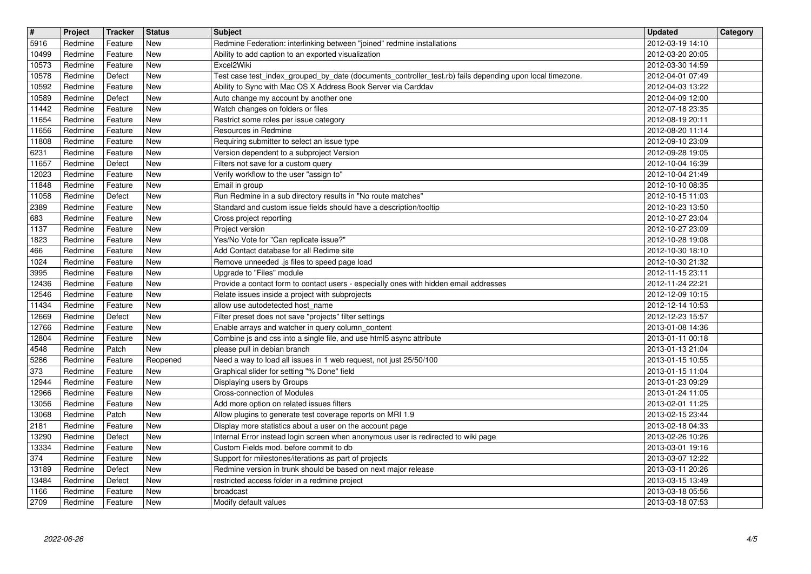|                        | Project            | Tracker            | <b>Status</b>     | <b>Subject</b>                                                                                                                                                            | <b>Updated</b>                       | Category |
|------------------------|--------------------|--------------------|-------------------|---------------------------------------------------------------------------------------------------------------------------------------------------------------------------|--------------------------------------|----------|
| 5916<br>10499          | Redmine<br>Redmine | Feature<br>Feature | New<br>New        | Redmine Federation: interlinking between "joined" redmine installations<br>Ability to add caption to an exported visualization                                            | 2012-03-19 14:10<br>2012-03-20 20:05 |          |
| 10573                  | Redmine            | Feature            | New               | Excel2Wiki                                                                                                                                                                | 2012-03-30 14:59                     |          |
| 10578<br>10592         | Redmine<br>Redmine | Defect<br>Feature  | New<br><b>New</b> | Test case test_index_grouped_by_date (documents_controller_test.rb) fails depending upon local timezone.<br>Ability to Sync with Mac OS X Address Book Server via Carddav | 2012-04-01 07:49<br>2012-04-03 13:22 |          |
| 10589                  | Redmine            | Defect             | New               | Auto change my account by another one                                                                                                                                     | 2012-04-09 12:00                     |          |
| 11442<br>11654         | Redmine<br>Redmine | Feature<br>Feature | New<br>New        | Watch changes on folders or files<br>Restrict some roles per issue category                                                                                               | 2012-07-18 23:35<br>2012-08-19 20:11 |          |
| 11656                  | Redmine            | Feature            | New               | Resources in Redmine                                                                                                                                                      | 2012-08-20 11:14                     |          |
| 11808<br>6231          | Redmine<br>Redmine | Feature<br>Feature | New<br>New        | Requiring submitter to select an issue type<br>Version dependent to a subproject Version                                                                                  | 2012-09-10 23:09<br>2012-09-28 19:05 |          |
| 11657                  | Redmine            | Defect             | New               | Filters not save for a custom query                                                                                                                                       | 2012-10-04 16:39                     |          |
| 12023<br>11848         | Redmine<br>Redmine | Feature<br>Feature | New<br>New        | Verify workflow to the user "assign to"<br>Email in group                                                                                                                 | 2012-10-04 21:49<br>2012-10-10 08:35 |          |
| 11058<br>2389          | Redmine<br>Redmine | Defect<br>Feature  | New<br>New        | Run Redmine in a sub directory results in "No route matches"<br>Standard and custom issue fields should have a description/tooltip                                        | 2012-10-15 11:03<br>2012-10-23 13:50 |          |
| 683                    | Redmine            | Feature            | New               | Cross project reporting                                                                                                                                                   | 2012-10-27 23:04                     |          |
| 1137<br>1823           | Redmine<br>Redmine | Feature<br>Feature | New<br>New        | Project version<br>Yes/No Vote for "Can replicate issue?"                                                                                                                 | 2012-10-27 23:09<br>2012-10-28 19:08 |          |
| 466                    | Redmine            | Feature            | New               | Add Contact database for all Redime site                                                                                                                                  | 2012-10-30 18:10                     |          |
| 1024<br>3995           | Redmine<br>Redmine | Feature<br>Feature | New<br>New        | Remove unneeded .js files to speed page load<br>Upgrade to "Files" module                                                                                                 | 2012-10-30 21:32<br>2012-11-15 23:11 |          |
| 12436                  | Redmine            | Feature            | New               | Provide a contact form to contact users - especially ones with hidden email addresses                                                                                     | 2012-11-24 22:21                     |          |
| 12546<br>11434         | Redmine<br>Redmine | Feature<br>Feature | New<br>New        | Relate issues inside a project with subprojects<br>allow use autodetected host name                                                                                       | 2012-12-09 10:15<br>2012-12-14 10:53 |          |
| 12669                  | Redmine            | Defect             | New               | Filter preset does not save "projects" filter settings                                                                                                                    | 2012-12-23 15:57                     |          |
| 12766<br>12804         | Redmine<br>Redmine | Feature<br>Feature | New<br>New        | Enable arrays and watcher in query column_content<br>Combine js and css into a single file, and use html5 async attribute                                                 | 2013-01-08 14:36<br>2013-01-11 00:18 |          |
| 4548                   | Redmine            | Patch              | New               | please pull in debian branch                                                                                                                                              | 2013-01-13 21:04                     |          |
| 5286<br>373            | Redmine<br>Redmine | Feature<br>Feature | Reopened<br>New   | Need a way to load all issues in 1 web request, not just 25/50/100<br>Graphical slider for setting "% Done" field                                                         | 2013-01-15 10:55<br>2013-01-15 11:04 |          |
| 12944                  | Redmine            | Feature            | New               | Displaying users by Groups                                                                                                                                                | 2013-01-23 09:29                     |          |
| 12966<br>13056         | Redmine<br>Redmine | Feature<br>Feature | <b>New</b><br>New | Cross-connection of Modules<br>Add more option on related issues filters                                                                                                  | 2013-01-24 11:05<br>2013-02-01 11:25 |          |
| 13068                  | Redmine            | Patch              | New               | Allow plugins to generate test coverage reports on MRI 1.9                                                                                                                | 2013-02-15 23:44                     |          |
| 2181<br>13290          | Redmine<br>Redmine | Feature<br>Defect  | New<br>New        | Display more statistics about a user on the account page<br>Internal Error instead login screen when anonymous user is redirected to wiki page                            | 2013-02-18 04:33<br>2013-02-26 10:26 |          |
| 13334                  | Redmine            | Feature            | <b>New</b>        | Custom Fields mod. before commit to db                                                                                                                                    | 2013-03-01 19:16                     |          |
| $\boxed{374}$<br>13189 | Redmine<br>Redmine | Feature<br>Defect  | New<br>New        | Support for milestones/iterations as part of projects<br>Redmine version in trunk should be based on next major release                                                   | 2013-03-07 12:22<br>2013-03-11 20:26 |          |
| 13484                  | Redmine            | Defect             | New               | restricted access folder in a redmine project                                                                                                                             | 2013-03-15 13:49                     |          |
| 1166<br>2709           | Redmine<br>Redmine | Feature<br>Feature | New<br>New        | broadcast<br>Modify default values                                                                                                                                        | 2013-03-18 05:56<br>2013-03-18 07:53 |          |
|                        |                    |                    |                   |                                                                                                                                                                           |                                      |          |
|                        |                    |                    |                   |                                                                                                                                                                           |                                      |          |
|                        |                    |                    |                   |                                                                                                                                                                           |                                      |          |
|                        |                    |                    |                   |                                                                                                                                                                           |                                      |          |
|                        |                    |                    |                   |                                                                                                                                                                           |                                      |          |
|                        |                    |                    |                   |                                                                                                                                                                           |                                      |          |
|                        |                    |                    |                   |                                                                                                                                                                           |                                      |          |
|                        |                    |                    |                   |                                                                                                                                                                           |                                      |          |
|                        |                    |                    |                   |                                                                                                                                                                           |                                      |          |
|                        |                    |                    |                   |                                                                                                                                                                           |                                      |          |
|                        |                    |                    |                   |                                                                                                                                                                           |                                      |          |
|                        |                    |                    |                   |                                                                                                                                                                           |                                      |          |
|                        |                    |                    |                   |                                                                                                                                                                           |                                      |          |
|                        |                    |                    |                   |                                                                                                                                                                           |                                      |          |
|                        |                    |                    |                   |                                                                                                                                                                           |                                      |          |
|                        |                    |                    |                   |                                                                                                                                                                           |                                      |          |
|                        |                    |                    |                   |                                                                                                                                                                           |                                      |          |
|                        |                    |                    |                   |                                                                                                                                                                           |                                      |          |
|                        |                    |                    |                   |                                                                                                                                                                           |                                      |          |
|                        |                    |                    |                   |                                                                                                                                                                           |                                      |          |
|                        |                    |                    |                   |                                                                                                                                                                           |                                      |          |
|                        |                    |                    |                   |                                                                                                                                                                           |                                      |          |
|                        |                    |                    |                   |                                                                                                                                                                           |                                      |          |
|                        |                    |                    |                   |                                                                                                                                                                           |                                      |          |
|                        |                    |                    |                   |                                                                                                                                                                           |                                      |          |
|                        |                    |                    |                   |                                                                                                                                                                           |                                      |          |
|                        |                    |                    |                   |                                                                                                                                                                           |                                      |          |
|                        |                    |                    |                   |                                                                                                                                                                           |                                      |          |
|                        |                    |                    |                   |                                                                                                                                                                           |                                      |          |
|                        |                    |                    |                   |                                                                                                                                                                           |                                      |          |
|                        |                    |                    |                   |                                                                                                                                                                           |                                      |          |
|                        |                    |                    |                   |                                                                                                                                                                           |                                      |          |
|                        |                    |                    |                   |                                                                                                                                                                           |                                      |          |
|                        |                    |                    |                   |                                                                                                                                                                           |                                      |          |
|                        |                    |                    |                   |                                                                                                                                                                           |                                      |          |